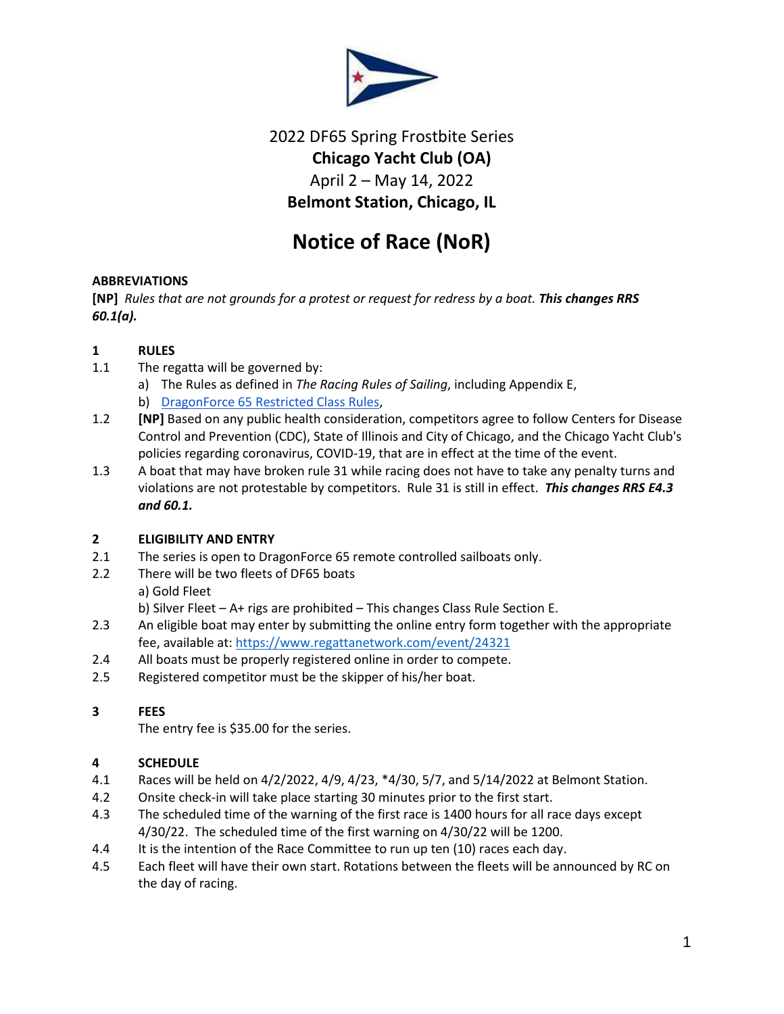

# 2022 DF65 Spring Frostbite Series **Chicago Yacht Club (OA)** April 2 – May 14, 2022 **Belmont Station, Chicago, IL**

# **Notice of Race (NoR)**

# **ABBREVIATIONS**

**[NP]** *Rules that are not grounds for a protest or request for redress by a boat. This changes RRS 60.1(a).*

# **1 RULES**

- 1.1 The regatta will be governed by:
	- a) The Rules as defined in *The Racing Rules of Sailing*, including Appendix E,
	- b) [DragonForce 65 Restricted Class Rules,](https://dragonforce65.us/wp-content/uploads/2017/03/dragonforce65-restricted-class-rules-v1.61.pdf)
- 1.2 **[NP]** Based on any public health consideration, competitors agree to follow Centers for Disease Control and Prevention (CDC), State of Illinois and City of Chicago, and the Chicago Yacht Club's policies regarding coronavirus, COVID-19, that are in effect at the time of the event.
- 1.3 A boat that may have broken rule 31 while racing does not have to take any penalty turns and violations are not protestable by competitors. Rule 31 is still in effect. *This changes RRS E4.3 and 60.1.*

# **2 ELIGIBILITY AND ENTRY**

- 2.1 The series is open to DragonForce 65 remote controlled sailboats only.
- 2.2 There will be two fleets of DF65 boats

a) Gold Fleet

- b) Silver Fleet A+ rigs are prohibited This changes Class Rule Section E.
- 2.3 An eligible boat may enter by submitting the online entry form together with the appropriate fee, available at:<https://www.regattanetwork.com/event/24321>
- 2.4 All boats must be properly registered online in order to compete.
- 2.5 Registered competitor must be the skipper of his/her boat.

# **3 FEES**

The entry fee is \$35.00 for the series.

# **4 SCHEDULE**

- 4.1 Races will be held on 4/2/2022, 4/9, 4/23, \*4/30, 5/7, and 5/14/2022 at Belmont Station.
- 4.2 Onsite check-in will take place starting 30 minutes prior to the first start.
- 4.3 The scheduled time of the warning of the first race is 1400 hours for all race days except 4/30/22. The scheduled time of the first warning on 4/30/22 will be 1200.
- 4.4 It is the intention of the Race Committee to run up ten (10) races each day.
- 4.5 Each fleet will have their own start. Rotations between the fleets will be announced by RC on the day of racing.